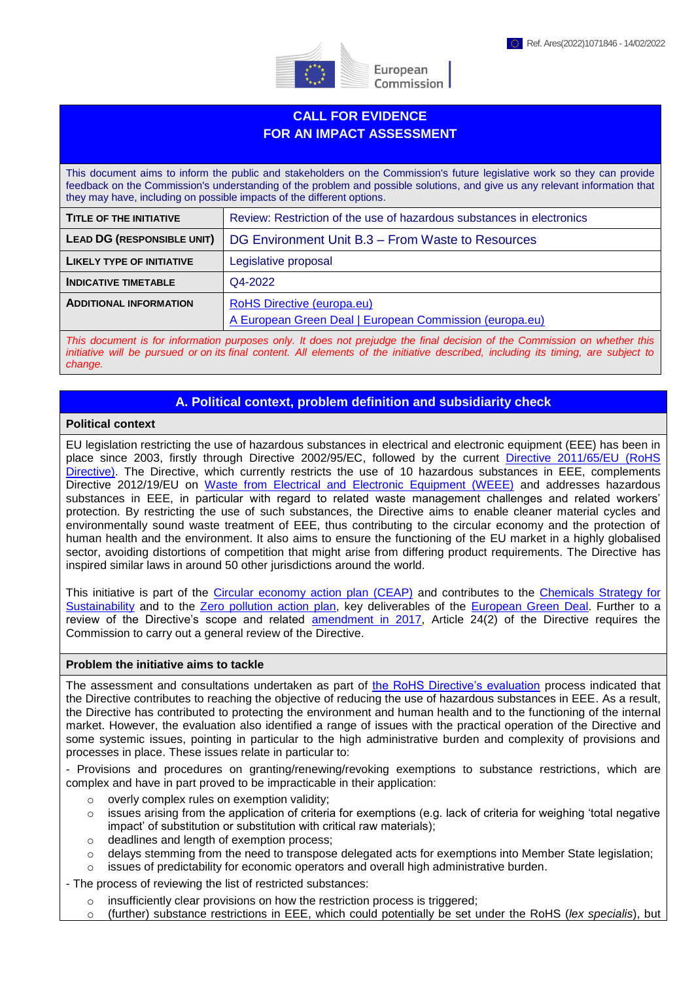

European Commission

# **CALL FOR EVIDENCE FOR AN IMPACT ASSESSMENT**

This document aims to inform the public and stakeholders on the Commission's future legislative work so they can provide feedback on the Commission's understanding of the problem and possible solutions, and give us any relevant information that they may have, including on possible impacts of the different options.

| TITLE OF THE INITIATIVE          | Review: Restriction of the use of hazardous substances in electronics |
|----------------------------------|-----------------------------------------------------------------------|
| LEAD DG (RESPONSIBLE UNIT)       | DG Environment Unit B.3 - From Waste to Resources                     |
| <b>LIKELY TYPE OF INITIATIVE</b> | Legislative proposal                                                  |
| <b>INDICATIVE TIMETABLE</b>      | Q4-2022                                                               |
| <b>ADDITIONAL INFORMATION</b>    | <b>RoHS Directive (europa.eu)</b>                                     |
|                                  | A European Green Deal   European Commission (europa.eu)               |

*This document is for information purposes only. It does not prejudge the final decision of the Commission on whether this initiative will be pursued or on its final content. All elements of the initiative described, including its timing, are subject to change.*

## **A. Political context, problem definition and subsidiarity check**

#### **Political context**

EU legislation restricting the use of hazardous substances in electrical and electronic equipment (EEE) has been in place since 2003, firstly through Directive 2002/95/EC, followed by the current [Directive 2011/65/EU \(RoHS](https://eur-lex.europa.eu/legal-content/EN/TXT/?uri=CELEX:32011L0065)  [Directive\).](https://eur-lex.europa.eu/legal-content/EN/TXT/?uri=CELEX:32011L0065) The Directive, which currently restricts the use of 10 hazardous substances in EEE, complements Directive 2012/19/EU on [Waste from Electrical and Electronic Equipment \(WEEE\)](https://ec.europa.eu/environment/topics/waste-and-recycling/waste-electrical-and-electronic-equipment-weee_en) and addresses hazardous substances in EEE, in particular with regard to related waste management challenges and related workers' protection. By restricting the use of such substances, the Directive aims to enable cleaner material cycles and environmentally sound waste treatment of EEE, thus contributing to the circular economy and the protection of human health and the environment. It also aims to ensure the functioning of the EU market in a highly globalised sector, avoiding distortions of competition that might arise from differing product requirements. The Directive has inspired similar laws in around 50 other jurisdictions around the world.

This initiative is part of the [Circular economy action plan \(](https://ec.europa.eu/environment/strategy/circular-economy-action-plan_en)CEAP) and contributes to the [Chemicals Strategy f](https://ec.europa.eu/environment/strategy/chemicals-strategy_en)or Sustainability and to the [Zero pollution action plan,](https://ec.europa.eu/environment/strategy/zero-pollution-action-plan_en) key deliverables of the [European Green Deal.](https://eur-lex.europa.eu/legal-content/EN/TXT/?uri=COM%3A2019%3A640%3AFIN) Further to a review of the Directive's scope and related [amendment in 2017,](https://eur-lex.europa.eu/legal-content/EN/TXT/?uri=CELEX%3A32017L2102#:~:text=Directive%20%28EU%29%202017%2F2102%20of%20the%20European%20Parliament%20and,and%20electronic%20equipment%20%28Text%20with%20EEA%20relevance.%20%29) Article 24(2) of the Directive requires the Commission to carry out a general review of the Directive.

#### **Problem the initiative aims to tackle**

The assessment and consultations undertaken as part of [the RoHS Directive's evaluation](https://ec.europa.eu/info/law/better-regulation/have-your-say/initiatives/1891-Hazardous-substances-in-electrical-electronic-equipment-evaluation-of-restrictions_en) process indicated that the Directive contributes to reaching the objective of reducing the use of hazardous substances in EEE. As a result, the Directive has contributed to protecting the environment and human health and to the functioning of the internal market. However, the evaluation also identified a range of issues with the practical operation of the Directive and some systemic issues, pointing in particular to the high administrative burden and complexity of provisions and processes in place. These issues relate in particular to:

- Provisions and procedures on granting/renewing/revoking exemptions to substance restrictions, which are complex and have in part proved to be impracticable in their application:

- o overly complex rules on exemption validity;
- $\circ$  issues arising from the application of criteria for exemptions (e.g. lack of criteria for weighing 'total negative impact' of substitution or substitution with critical raw materials);
- o deadlines and length of exemption process;
- $\circ$  delays stemming from the need to transpose delegated acts for exemptions into Member State legislation;
- o issues of predictability for economic operators and overall high administrative burden.

- The process of reviewing the list of restricted substances:

- insufficiently clear provisions on how the restriction process is triggered;
- (further) substance restrictions in EEE, which could potentially be set under the RoHS (lex specialis), but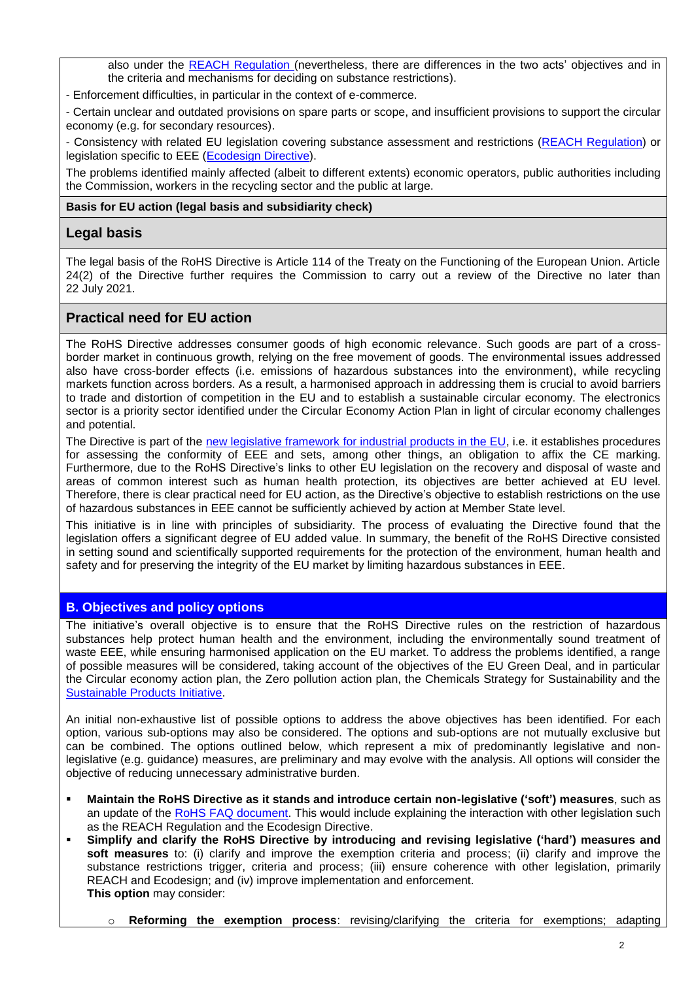also under the [REACH Regulation](https://eur-lex.europa.eu/legal-content/en/TXT/?uri=CELEX%3A32006R1907) (nevertheless, there are differences in the two acts' objectives and in the criteria and mechanisms for deciding on substance restrictions).

- Enforcement difficulties, in particular in the context of e-commerce.

- Certain unclear and outdated provisions on spare parts or scope, and insufficient provisions to support the circular economy (e.g. for secondary resources).

- Consistency with related EU legislation covering substance assessment and restrictions (REACH [Regulation\)](https://eur-lex.europa.eu/legal-content/en/TXT/?uri=CELEX%3A32006R1907) or legislation specific to EEE [\(Ecodesign](https://eur-lex.europa.eu/legal-content/EN/TXT/?uri=CELEX%3A32009L0125) Directive).

The problems identified mainly affected (albeit to different extents) economic operators, public authorities including the Commission, workers in the recycling sector and the public at large.

### **Basis for EU action (legal basis and subsidiarity check)**

## **Legal basis**

The legal basis of the RoHS Directive is Article 114 of the Treaty on the Functioning of the European Union. Article 24(2) of the Directive further requires the Commission to carry out a review of the Directive no later than 22 July 2021.

## **Practical need for EU action**

The RoHS Directive addresses consumer goods of high economic relevance. Such goods are part of a crossborder market in continuous growth, relying on the free movement of goods. The environmental issues addressed also have cross-border effects (i.e. emissions of hazardous substances into the environment), while recycling markets function across borders. As a result, a harmonised approach in addressing them is crucial to avoid barriers to trade and distortion of competition in the EU and to establish a sustainable circular economy. The electronics sector is a priority sector identified under the Circular Economy Action Plan in light of circular economy challenges and potential.

The Directive is part of the new legislative framework [for industrial products in the EU,](https://ec.europa.eu/growth/single-market/goods/new-legislative-framework_en) i.e. it establishes procedures for assessing the conformity of EEE and sets, among other things, an obligation to affix the CE marking. Furthermore, due to the RoHS Directive's links to other EU legislation on the recovery and disposal of waste and areas of common interest such as human health protection, its objectives are better achieved at EU level. Therefore, there is clear practical need for EU action, as the Directive's objective to establish restrictions on the use of hazardous substances in EEE cannot be sufficiently achieved by action at Member State level.

This initiative is in line with principles of subsidiarity. The process of evaluating the Directive found that the legislation offers a significant degree of EU added value. In summary, the benefit of the RoHS Directive consisted in setting sound and scientifically supported requirements for the protection of the environment, human health and safety and for preserving the integrity of the EU market by limiting hazardous substances in EEE.

## **B. Objectives and policy options**

The initiative's overall objective is to ensure that the RoHS Directive rules on the restriction of hazardous substances help protect human health and the environment, including the environmentally sound treatment of waste EEE, while ensuring harmonised application on the EU market. To address the problems identified, a range of possible measures will be considered, taking account of the objectives of the EU Green Deal, and in particular the Circular economy action plan, the Zero pollution action plan, the Chemicals Strategy for Sustainability and the [Sustainable Products](https://ec.europa.eu/info/law/better-regulation/have-your-say/initiatives/12567-Sustainable-products-initiative_en) Initiative.

An initial non-exhaustive list of possible options to address the above objectives has been identified. For each option, various sub-options may also be considered. The options and sub-options are not mutually exclusive but can be combined. The options outlined below, which represent a mix of predominantly legislative and nonlegislative (e.g. guidance) measures, are preliminary and may evolve with the analysis. All options will consider the objective of reducing unnecessary administrative burden.

- **Maintain the RoHS Directive as it stands and introduce certain non-legislative ('soft') measures**, such as an update of the [RoHS FAQ document.](https://ec.europa.eu/environment/system/files/2021-01/FAQ%20key%20guidance%20document%20-%20RoHS.pdf) This would include explaining the interaction with other legislation such as the REACH Regulation and the Ecodesign Directive.
- **Simplify and clarify the RoHS Directive by introducing and revising legislative ('hard') measures and soft measures** to: (i) clarify and improve the exemption criteria and process; (ii) clarify and improve the substance restrictions trigger, criteria and process; (iii) ensure coherence with other legislation, primarily REACH and Ecodesign; and (iv) improve implementation and enforcement. **This option** may consider:
	- o **Reforming the exemption process**: revising/clarifying the criteria for exemptions; adapting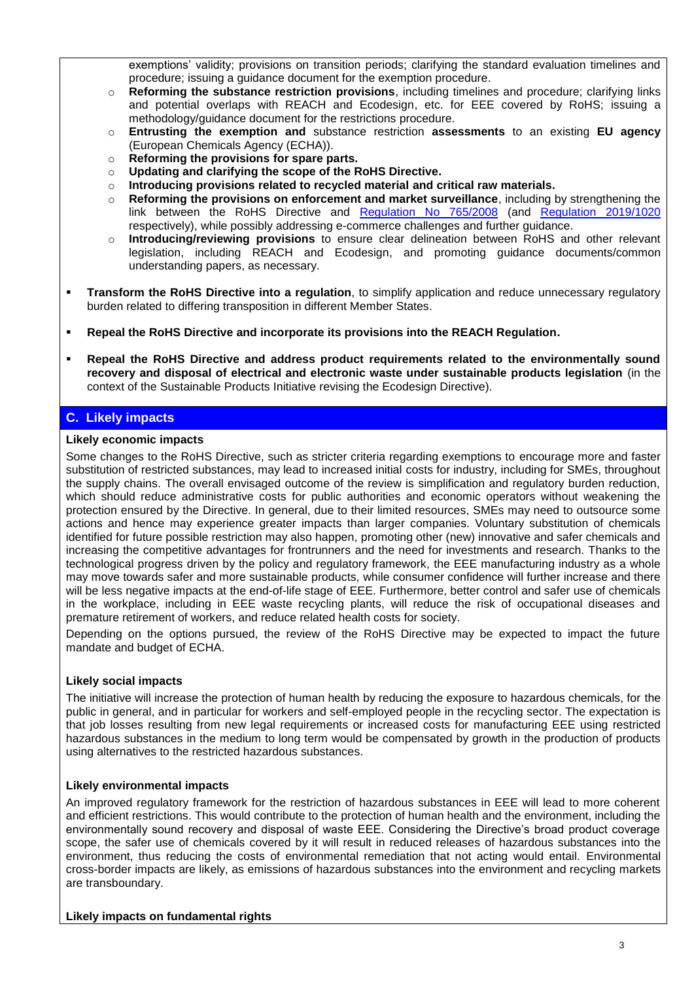exemptions' validity; provisions on transition periods; clarifying the standard evaluation timelines and procedure; issuing a guidance document for the exemption procedure.

- o **Reforming the substance restriction provisions**, including timelines and procedure; clarifying links and potential overlaps with REACH and Ecodesign, etc. for EEE covered by RoHS; issuing a methodology/guidance document for the restrictions procedure.
- o **Entrusting the exemption and** substance restriction **assessments** to an existing **EU agency** (European Chemicals Agency (ECHA)).
- o **Reforming the provisions for spare parts.**
- o **Updating and clarifying the scope of the RoHS Directive.**
- o **Introducing provisions related to recycled material and critical raw materials.**
- o **Reforming the provisions on enforcement and market surveillance**, including by strengthening the link between the RoHS Directive and [Regulation No 765/2008](https://eur-lex.europa.eu/legal-content/EN/TXT/?uri=CELEX:32008R0765) (and [Regulation 2019/1020](https://eur-lex.europa.eu/legal-content/EN/TXT/?uri=celex:32019R1020) respectively), while possibly addressing e-commerce challenges and further guidance.
- o **Introducing/reviewing provisions** to ensure clear delineation between RoHS and other relevant legislation, including REACH and Ecodesign, and promoting guidance documents/common understanding papers, as necessary.
- **Transform the RoHS Directive into a regulation**, to simplify application and reduce unnecessary regulatory burden related to differing transposition in different Member States.
- **Repeal the RoHS Directive and incorporate its provisions into the REACH Regulation.**
- **Repeal the RoHS Directive and address product requirements related to the environmentally sound recovery and disposal of electrical and electronic waste under sustainable products legislation** (in the context of the Sustainable Products Initiative revising the Ecodesign Directive).

## **C. Likely impacts**

### **Likely economic impacts**

Some changes to the RoHS Directive, such as stricter criteria regarding exemptions to encourage more and faster substitution of restricted substances, may lead to increased initial costs for industry, including for SMEs, throughout the supply chains. The overall envisaged outcome of the review is simplification and regulatory burden reduction, which should reduce administrative costs for public authorities and economic operators without weakening the protection ensured by the Directive. In general, due to their limited resources, SMEs may need to outsource some actions and hence may experience greater impacts than larger companies. Voluntary substitution of chemicals identified for future possible restriction may also happen, promoting other (new) innovative and safer chemicals and increasing the competitive advantages for frontrunners and the need for investments and research. Thanks to the technological progress driven by the policy and regulatory framework, the EEE manufacturing industry as a whole may move towards safer and more sustainable products, while consumer confidence will further increase and there will be less negative impacts at the end-of-life stage of EEE. Furthermore, better control and safer use of chemicals in the workplace, including in EEE waste recycling plants, will reduce the risk of occupational diseases and premature retirement of workers, and reduce related health costs for society.

Depending on the options pursued, the review of the RoHS Directive may be expected to impact the future mandate and budget of ECHA.

### **Likely social impacts**

The initiative will increase the protection of human health by reducing the exposure to hazardous chemicals, for the public in general, and in particular for workers and self-employed people in the recycling sector. The expectation is that job losses resulting from new legal requirements or increased costs for manufacturing EEE using restricted hazardous substances in the medium to long term would be compensated by growth in the production of products using alternatives to the restricted hazardous substances.

### **Likely environmental impacts**

An improved regulatory framework for the restriction of hazardous substances in EEE will lead to more coherent and efficient restrictions. This would contribute to the protection of human health and the environment, including the environmentally sound recovery and disposal of waste EEE. Considering the Directive's broad product coverage scope, the safer use of chemicals covered by it will result in reduced releases of hazardous substances into the environment, thus reducing the costs of environmental remediation that not acting would entail. Environmental cross-border impacts are likely, as emissions of hazardous substances into the environment and recycling markets are transboundary.

### **Likely impacts on fundamental rights**